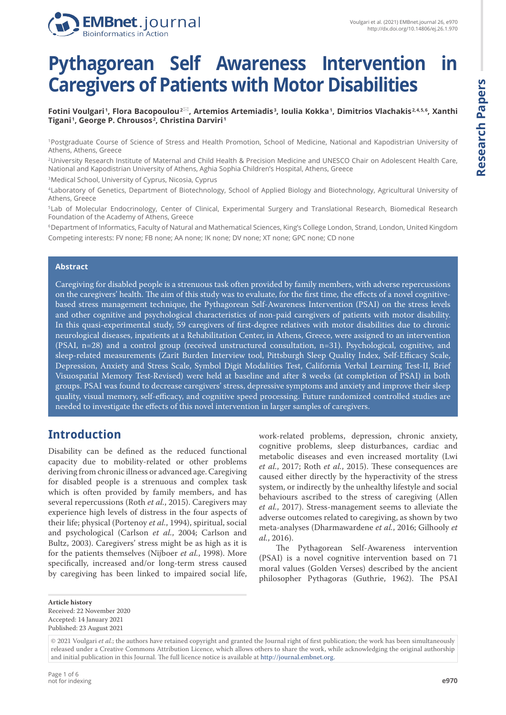

# **Pythagorean Self Awareness Intervention in Caregivers of Patients with Motor Disabilities**

 $\bf{Fotini Voulgari^{\dagger}, Flora Baconoulou^2^{\boxtimes}$ , Artemios Artemiadis  $\bf{F}$ , Ioulia Kokka  $\bf{F}$ , Dimitrios Vlachakis<code>2.4.5.6</sup>, Xanthi</code> **Tigani <sup>1</sup> , George P. Chrousos <sup>2</sup> , Christina Darviri <sup>1</sup>**

<sup>1</sup>Postgraduate Course of Science of Stress and Health Promotion, School of Medicine, National and Kapodistrian University of Athens, Athens, Greece

<sup>2</sup>University Research Institute of Maternal and Child Health & Precision Medicine and UNESCO Chair on Adolescent Health Care, National and Kapodistrian University of Athens, Aghia Sophia Children's Hospital, Athens, Greece

<sup>3</sup>Medical School, University of Cyprus, Nicosia, Cyprus

<sup>4</sup>Laboratory of Genetics, Department of Biotechnology, School of Applied Biology and Biotechnology, Agricultural University of Athens, Greece

<sup>5</sup>Lab of Molecular Endocrinology, Center of Clinical, Experimental Surgery and Translational Research, Biomedical Research Foundation of the Academy of Athens, Greece

<sup>6</sup>Department of Informatics, Faculty of Natural and Mathematical Sciences, King's College London, Strand, London, United Kingdom Competing interests: FV none; FB none; AA none; IK none; DV none; XT none; GPC none; CD none

#### **Abstract**

Caregiving for disabled people is a strenuous task often provided by family members, with adverse repercussions on the caregivers' health. The aim of this study was to evaluate, for the first time, the effects of a novel cognitivebased stress management technique, the Pythagorean Self-Awareness Intervention (PSAI) on the stress levels and other cognitive and psychological characteristics of non-paid caregivers of patients with motor disability. In this quasi-experimental study, 59 caregivers of first-degree relatives with motor disabilities due to chronic neurological diseases, inpatients at a Rehabilitation Center, in Athens, Greece, were assigned to an intervention (PSAI, n=28) and a control group (received unstructured consultation, n=31). Psychological, cognitive, and sleep-related measurements (Zarit Burden Interview tool, Pittsburgh Sleep Quality Index, Self-Efficacy Scale, Depression, Anxiety and Stress Scale, Symbol Digit Modalities Test, California Verbal Learning Test-II, Brief Visuospatial Memory Test-Revised) were held at baseline and after 8 weeks (at completion of PSAI) in both groups. PSAI was found to decrease caregivers' stress, depressive symptoms and anxiety and improve their sleep quality, visual memory, self-efficacy, and cognitive speed processing. Future randomized controlled studies are needed to investigate the effects of this novel intervention in larger samples of caregivers.

## **Introduction**

Disability can be defined as the reduced functional capacity due to mobility-related or other problems deriving from chronic illness or advanced age. Caregiving for disabled people is a strenuous and complex task which is often provided by family members, and has several repercussions (Roth *et al.*, 2015). Caregivers may experience high levels of distress in the four aspects of their life; physical (Portenoy *et al.*, 1994), spiritual, social and psychological (Carlson *et al.*, 2004; Carlson and Bultz, 2003). Caregivers' stress might be as high as it is for the patients themselves (Nijboer *et al.*, 1998). More specifically, increased and/or long-term stress caused by caregiving has been linked to impaired social life, work-related problems, depression, chronic anxiety, cognitive problems, sleep disturbances, cardiac and metabolic diseases and even increased mortality (Lwi *et al.*, 2017; Roth *et al.*, 2015). These consequences are caused either directly by the hyperactivity of the stress system, or indirectly by the unhealthy lifestyle and social behaviours ascribed to the stress of caregiving (Allen *et al.*, 2017). Stress-management seems to alleviate the adverse outcomes related to caregiving, as shown by two meta-analyses (Dharmawardene *et al.*, 2016; Gilhooly *et al.*, 2016).

The Pythagorean Self-Awareness intervention (PSAI) is a novel cognitive intervention based on 71 moral values (Golden Verses) described by the ancient philosopher Pythagoras (Guthrie, 1962). The PSAI

**Article history** Received: 22 November 2020 Accepted: 14 January 2021 Published: 23 August 2021

<sup>© 2021</sup> Voulgari *et al.*; the authors have retained copyright and granted the Journal right of first publication; the work has been simultaneously released under a Creative Commons Attribution Licence, which allows others to share the work, while acknowledging the original authorship and initial publication in this Journal. The full licence notice is available at http://journal.embnet.org.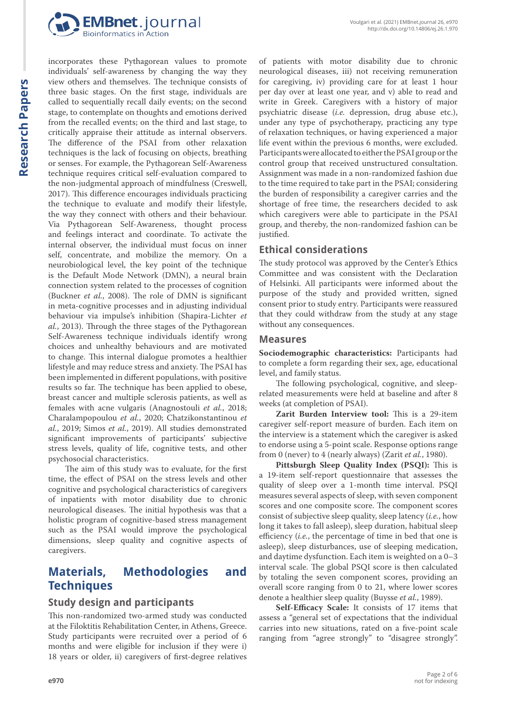

**Research Papers Research Papers**

incorporates these Pythagorean values to promote individuals' self-awareness by changing the way they view others and themselves. The technique consists of three basic stages. On the first stage, individuals are called to sequentially recall daily events; on the second stage, to contemplate on thoughts and emotions derived from the recalled events; on the third and last stage, to critically appraise their attitude as internal observers. The difference of the PSAI from other relaxation techniques is the lack of focusing on objects, breathing or senses. For example, the Pythagorean Self-Awareness technique requires critical self-evaluation compared to the non-judgmental approach of mindfulness (Creswell, 2017). This difference encourages individuals practicing the technique to evaluate and modify their lifestyle, the way they connect with others and their behaviour. Via Pythagorean Self-Awareness, thought process and feelings interact and coordinate. To activate the internal observer, the individual must focus on inner self, concentrate, and mobilize the memory. On a neurobiological level, the key point of the technique is the Default Mode Network (DMN), a neural brain connection system related to the processes of cognition (Buckner *et al.*, 2008). The role of DMN is significant in meta-cognitive processes and in adjusting individual behaviour via impulse's inhibition (Shapira-Lichter *et al.*, 2013). Through the three stages of the Pythagorean Self-Awareness technique individuals identify wrong choices and unhealthy behaviours and are motivated to change. This internal dialogue promotes a healthier lifestyle and may reduce stress and anxiety. The PSAI has been implemented in different populations, with positive results so far. The technique has been applied to obese, breast cancer and multiple sclerosis patients, as well as females with acne vulgaris (Anagnostouli *et al.*, 2018; Charalampopoulou *et al.*, 2020; Chatzikonstantinou *et al.*, 2019; Simos *et al.*, 2019). All studies demonstrated significant improvements of participants' subjective stress levels, quality of life, cognitive tests, and other psychosocial characteristics.

The aim of this study was to evaluate, for the first time, the effect of PSAI on the stress levels and other cognitive and psychological characteristics of caregivers of inpatients with motor disability due to chronic neurological diseases. The initial hypothesis was that a holistic program of cognitive-based stress management such as the PSAI would improve the psychological dimensions, sleep quality and cognitive aspects of caregivers.

## **Materials, Methodologies and Techniques**

#### **Study design and participants**

This non-randomized two-armed study was conducted at the Filoktitis Rehabilitation Center, in Athens, Greece. Study participants were recruited over a period of 6 months and were eligible for inclusion if they were i) 18 years or older, ii) caregivers of first-degree relatives

of patients with motor disability due to chronic neurological diseases, iii) not receiving remuneration for caregiving, iv) providing care for at least 1 hour per day over at least one year, and v) able to read and write in Greek. Caregivers with a history of major psychiatric disease (*i.e.* depression, drug abuse etc.), under any type of psychotherapy, practicing any type of relaxation techniques, or having experienced a major life event within the previous 6 months, were excluded. Participants were allocated to either the PSAI group or the control group that received unstructured consultation. Assignment was made in a non-randomized fashion due to the time required to take part in the PSAI; considering the burden of responsibility a caregiver carries and the shortage of free time, the researchers decided to ask which caregivers were able to participate in the PSAI group, and thereby, the non-randomized fashion can be justified.

#### **Ethical considerations**

The study protocol was approved by the Center's Ethics Committee and was consistent with the Declaration of Helsinki. All participants were informed about the purpose of the study and provided written, signed consent prior to study entry. Participants were reassured that they could withdraw from the study at any stage without any consequences.

#### **Measures**

**Sociodemographic characteristics:** Participants had to complete a form regarding their sex, age, educational level, and family status.

The following psychological, cognitive, and sleeprelated measurements were held at baseline and after 8 weeks (at completion of PSAI).

**Zarit Burden Interview tool:** This is a 29-item caregiver self-report measure of burden. Each item on the interview is a statement which the caregiver is asked to endorse using a 5-point scale. Response options range from 0 (never) to 4 (nearly always) (Zarit *et al.*, 1980).

**Pittsburgh Sleep Quality Index (PSQI):** This is a 19-item self-report questionnaire that assesses the quality of sleep over a 1-month time interval. PSQI measures several aspects of sleep, with seven component scores and one composite score. The component scores consist of subjective sleep quality, sleep latency (*i.e.*, how long it takes to fall asleep), sleep duration, habitual sleep efficiency (*i.e.*, the percentage of time in bed that one is asleep), sleep disturbances, use of sleeping medication, and daytime dysfunction. Each item is weighted on a 0–3 interval scale. The global PSQI score is then calculated by totaling the seven component scores, providing an overall score ranging from 0 to 21, where lower scores denote a healthier sleep quality (Buysse *et al.*, 1989).

**Self-Efficacy Scale:** It consists of 17 items that assess a "general set of expectations that the individual carries into new situations, rated on a five-point scale ranging from "agree strongly" to "disagree strongly".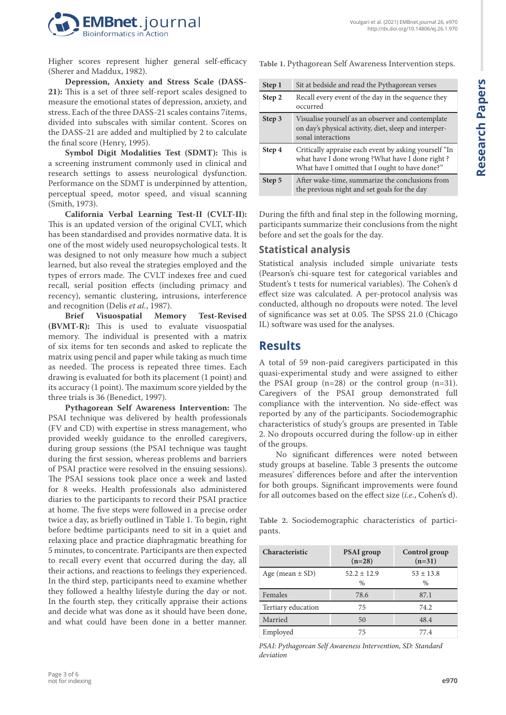

Higher scores represent higher general self-efficacy (Sherer and Maddux, 1982).

**Depression, Anxiety and Stress Scale (DASS-21):** This is a set of three self-report scales designed to measure the emotional states of depression, anxiety, and stress. Each of the three DASS-21 scales contains 7items, divided into subscales with similar content. Scores on the DASS-21 are added and multiplied by 2 to calculate the final score (Henry, 1995).

**Symbol Digit Modalities Test (SDMT):** This is a screening instrument commonly used in clinical and research settings to assess neurological dysfunction. Performance on the SDMT is underpinned by attention, perceptual speed, motor speed, and visual scanning (Smith, 1973).

**California Verbal Learning Test-II (CVLT-II):**  This is an updated version of the original CVLT, which has been standardised and provides normative data. It is one of the most widely used neuropsychological tests. It was designed to not only measure how much a subject learned, but also reveal the strategies employed and the types of errors made. The CVLT indexes free and cued recall, serial position effects (including primacy and recency), semantic clustering, intrusions, interference and recognition (Delis *et al.*, 1987).

**Brief Visuospatial Memory Test-Revised (BVMT-R):** This is used to evaluate visuospatial memory. The individual is presented with a matrix of six items for ten seconds and asked to replicate the matrix using pencil and paper while taking as much time as needed. The process is repeated three times. Each drawing is evaluated for both its placement (1 point) and its accuracy (1 point). The maximum score yielded by the three trials is 36 (Benedict, 1997).

**Pythagorean Self Awareness Intervention:** The PSAI technique was delivered by health professionals (FV and CD) with expertise in stress management, who provided weekly guidance to the enrolled caregivers, during group sessions (the PSAI technique was taught during the first session, whereas problems and barriers of PSAI practice were resolved in the ensuing sessions). The PSAI sessions took place once a week and lasted for 8 weeks. Health professionals also administered diaries to the participants to record their PSAI practice at home. The five steps were followed in a precise order twice a day, as briefly outlined in Table 1. To begin, right before bedtime participants need to sit in a quiet and relaxing place and practice diaphragmatic breathing for 5 minutes, to concentrate. Participants are then expected to recall every event that occurred during the day, all their actions, and reactions to feelings they experienced. In the third step, participants need to examine whether they followed a healthy lifestyle during the day or not. In the fourth step, they critically appraise their actions and decide what was done as it should have been done, and what could have been done in a better manner. **Table 1.** Pythagorean Self Awareness Intervention steps.

| Step 1 | Sit at bedside and read the Pythagorean verses                                                                                                              |
|--------|-------------------------------------------------------------------------------------------------------------------------------------------------------------|
| Step 2 | Recall every event of the day in the sequence they<br>occurred                                                                                              |
| Step 3 | Visualise yourself as an observer and contemplate<br>on day's physical activity, diet, sleep and interper-<br>sonal interactions                            |
| Step 4 | Critically appraise each event by asking yourself "In<br>what have I done wrong? What have I done right?<br>What have I omitted that I ought to have done?" |
| Step 5 | After wake-time, summarize the conclusions from<br>the previous night and set goals for the day                                                             |

During the fifth and final step in the following morning, participants summarize their conclusions from the night before and set the goals for the day.

## **Statistical analysis**

Statistical analysis included simple univariate tests (Pearson's chi-square test for categorical variables and Student's t tests for numerical variables). The Cohen's d effect size was calculated. A per-protocol analysis was conducted, although no dropouts were noted. The level of significance was set at 0.05. The SPSS 21.0 (Chicago IL) software was used for the analyses.

## **Results**

A total of 59 non-paid caregivers participated in this quasi-experimental study and were assigned to either the PSAI group (n=28) or the control group (n=31). Caregivers of the PSAI group demonstrated full compliance with the intervention. No side-effect was reported by any of the participants. Sociodemographic characteristics of study's groups are presented in Table 2. No dropouts occurred during the follow-up in either of the groups.

No significant differences were noted between study groups at baseline. Table 3 presents the outcome measures' differences before and after the intervention for both groups. Significant improvements were found for all outcomes based on the effect size (*i.e.*, Cohen's d).

**Table 2.** Sociodemographic characteristics of participants.

| <b>Characteristic</b> | <b>PSAI</b> group<br>$(n=28)$    | Control group<br>$(n=31)$      |
|-----------------------|----------------------------------|--------------------------------|
| Age (mean $\pm$ SD)   | $52.2 \pm 12.9$<br>$\frac{0}{0}$ | $53 \pm 13.8$<br>$\frac{0}{0}$ |
| Females               | 78.6                             | 87.1                           |
| Tertiary education    | 75                               | 74.2                           |
| Married               | 50                               | 48.4                           |
| Employed              | 75                               | 77.4                           |

*PSAI: Pythagorean Self Awareness Intervention, SD: Standard deviation*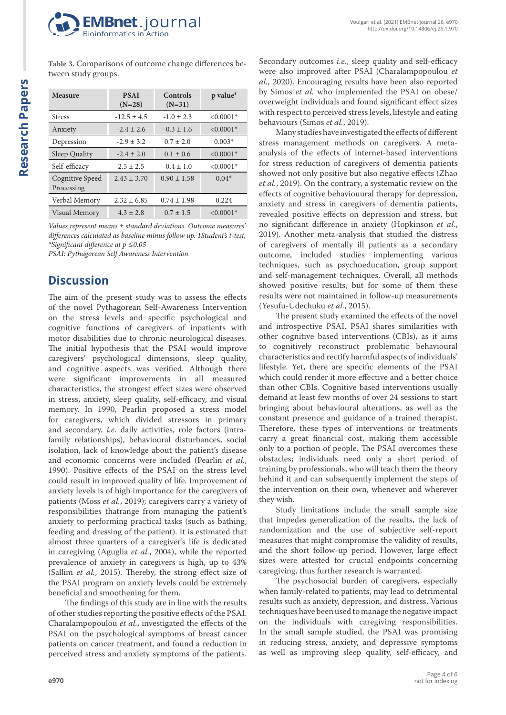

**Table 3.** Comparisons of outcome change differences between study groups.

| <b>Measure</b>                | <b>PSAI</b><br>$(N=28)$ | Controls<br>$(N=31)$ | p value <sup>1</sup> |
|-------------------------------|-------------------------|----------------------|----------------------|
| <b>Stress</b>                 | $-12.5 \pm 4.5$         | $-1.0 \pm 2.3$       | $< 0.0001*$          |
| Anxiety                       | $-2.4 \pm 2.6$          | $-0.3 \pm 1.6$       | $< 0.0001*$          |
| Depression                    | $-2.9 \pm 3.2$          | $0.7 \pm 2.0$        | $0.003*$             |
| Sleep Quality                 | $-2.4 \pm 2.0$          | $0.1 \pm 0.6$        | $< 0.0001*$          |
| Self-efficacy                 | $2.5 \pm 2.5$           | $-0.4 \pm 1.0$       | $< 0.0001*$          |
| Cognitive Speed<br>Processing | $2.43 \pm 3.70$         | $0.90 \pm 1.58$      | $0.04*$              |
| Verbal Memory                 | $2.32 \pm 6.85$         | $0.74 \pm 1.98$      | 0.224                |
| Visual Memory                 | $4.3 \pm 2.8$           | $0.7 \pm 1.5$        | $\leq 0.0001*$       |

*Values represent means ± standard deviations. Outcome measures' differences calculated as baseline minus follow up. 1Student's t-test, \*Significant difference at p ≤0.05*

*PSAI: Pythagorean Self Awareness Intervention*

## **Discussion**

The aim of the present study was to assess the effects of the novel Pythagorean Self-Awareness Intervention on the stress levels and specific psychological and cognitive functions of caregivers of inpatients with motor disabilities due to chronic neurological diseases. The initial hypothesis that the PSAI would improve caregivers' psychological dimensions, sleep quality, and cognitive aspects was verified. Although there were significant improvements in all measured characteristics, the strongest effect sizes were observed in stress, anxiety, sleep quality, self-efficacy, and visual memory. In 1990, Pearlin proposed a stress model for caregivers, which divided stressors in primary and secondary, *i.e.* daily activities, role factors (intrafamily relationships), behavioural disturbances, social isolation, lack of knowledge about the patient's disease and economic concerns were included (Pearlin *et al.*, 1990). Positive effects of the PSAI on the stress level could result in improved quality of life. Improvement of anxiety levels is of high importance for the caregivers of patients (Moss *et al.*, 2019); caregivers carry a variety of responsibilities thatrange from managing the patient's anxiety to performing practical tasks (such as bathing, feeding and dressing of the patient). It is estimated that almost three quarters of a caregiver's life is dedicated in caregiving (Aguglia *et al.*, 2004), while the reported prevalence of anxiety in caregivers is high, up to 43% (Sallim *et al.*, 2015). Thereby, the strong effect size of the PSAI program on anxiety levels could be extremely beneficial and smoothening for them.

The findings of this study are in line with the results of other studies reporting the positive effects of the PSAI. Charalampopoulou *et al.*, investigated the effects of the PSAI on the psychological symptoms of breast cancer patients on cancer treatment, and found a reduction in perceived stress and anxiety symptoms of the patients. Secondary outcomes *i.e.*, sleep quality and self-efficacy were also improved after PSAI (Charalampopoulou *et al.*, 2020). Encouraging results have been also reported by Simos *et al.* who implemented the PSAI on obese/ overweight individuals and found significant effect sizes with respect to perceived stress levels, lifestyle and eating behaviours (Simos *et al.*, 2019).

Many studies have investigated the effects of different stress management methods on caregivers. A metaanalysis of the effects of internet-based interventions for stress reduction of caregivers of dementia patients showed not only positive but also negative effects (Zhao *et al.*, 2019). On the contrary, a systematic review on the effects of cognitive behaviouural therapy for depression, anxiety and stress in caregivers of dementia patients, revealed positive effects on depression and stress, but no significant difference in anxiety (Hopkinson *et al.*, 2019). Another meta-analysis that studied the distress of caregivers of mentally ill patients as a secondary outcome, included studies implementing various techniques, such as psychoeducation, group support and self-management techniques. Overall, all methods showed positive results, but for some of them these results were not maintained in follow-up measurements (Yesufu-Udechuku *et al.*, 2015).

The present study examined the effects of the novel and introspective PSAI. PSAI shares similarities with other cognitive based interventions (CBIs), as it aims to cognitively reconstruct problematic behavioural characteristics and rectify harmful aspects of individuals' lifestyle. Yet, there are specific elements of the PSAI which could render it more effective and a better choice than other CBIs. Cognitive based interventions usually demand at least few months of over 24 sessions to start bringing about behavioural alterations, as well as the constant presence and guidance of a trained therapist. Therefore, these types of interventions or treatments carry a great financial cost, making them accessible only to a portion of people. The PSAI overcomes these obstacles; individuals need only a short period of training by professionals, who will teach them the theory behind it and can subsequently implement the steps of the intervention on their own, whenever and wherever they wish.

Study limitations include the small sample size that impedes generalization of the results, the lack of randomization and the use of subjective self-report measures that might compromise the validity of results, and the short follow-up period. However, large effect sizes were attested for crucial endpoints concerning caregiving, thus further research is warranted.

The psychosocial burden of caregivers, especially when family-related to patients, may lead to detrimental results such as anxiety, depression, and distress. Various techniques have been used to manage the negative impact on the individuals with caregiving responsibilities. In the small sample studied, the PSAI was promising in reducing stress, anxiety, and depressive symptoms as well as improving sleep quality, self-efficacy, and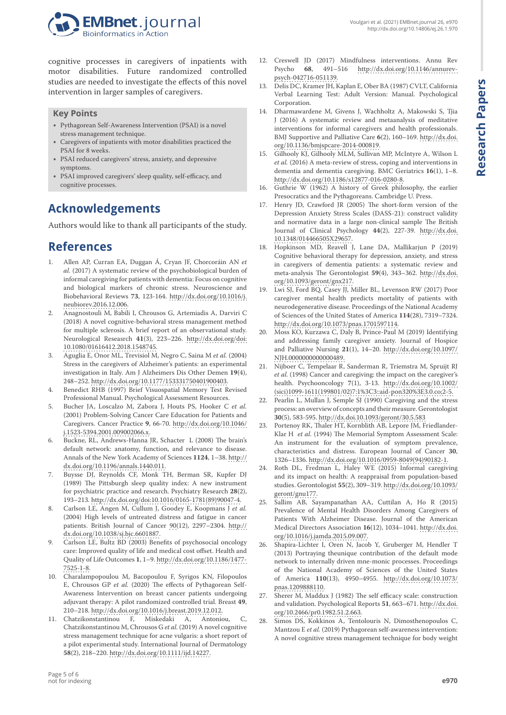

cognitive processes in caregivers of inpatients with motor disabilities. Future randomized controlled studies are needed to investigate the effects of this novel intervention in larger samples of caregivers.

#### **Key Points**

- Pythagorean Self-Awareness Intervention (PSAI) is a novel stress management technique.
- Caregivers of inpatients with motor disabilities practiced the PSAI for 8 weeks.
- PSAI reduced caregivers' stress, anxiety, and depressive symptoms.
- PSAI improved caregivers' sleep quality, self-efficacy, and cognitive processes.

# **Acknowledgements**

Authors would like to thank all participants of the study.

## **References**

- 1. Allen AP, Curran EA, Duggan Á, Cryan JF, Chorcoráin AN *et al.* (2017) A systematic review of the psychobiological burden of informal caregiving for patients with dementia: Focus on cognitive and biological markers of chronic stress. Neuroscience and Biobehavioral Reviews **73**, 123-164. [http://dx.doi.org/10.1016/j.](http://dx.doi.org/10.1016/j.neubiorev.2016.12.006) [neubiorev.2016.12.006](http://dx.doi.org/10.1016/j.neubiorev.2016.12.006).
- 2. Anagnostouli M, Babili I, Chrousos G, Artemiadis A, Darviri C (2018) A novel cognitive-behavioral stress management method for multiple sclerosis. A brief report of an observational study. Neurological Reseasrch **41**(3), 223–226. [http://dx.doi.org/doi:](http://dx.doi.org/doi: 10.1080/01616412.2018.1548745) [10.1080/01616412.2018.1548745.](http://dx.doi.org/doi: 10.1080/01616412.2018.1548745)
- 3. Aguglia E, Onor ML, Trevisiol M, Negro C, Saina M *et al.* (2004) Stress in the caregivers of Alzheimer's patients: an experimental investigation in Italy. Am J Alzheimers Dis Other Demen **19**(4), 248–252. [http://dx.doi.org/10.1177/153331750401900403.](http://dx.doi.org/10.1177/153331750401900403)
- 4. Benedict RHB (1997) Brief Visuospatial Memory Test Revised Professional Manual. Psychological Assessment Resources.
- 5. Bucher JA, Loscalzo M, Zabora J, Houts PS, Hooker C *et al.* (2001) Problem-Solving Cancer Care Education for Patients and Caregivers. Cancer Practice **9**, 66-70. [http://dx.doi.org/10.1046/](http://dx.doi.org/10.1046/j.1523-5394.2001.009002066.x) [j.1523-5394.2001.009002066.x](http://dx.doi.org/10.1046/j.1523-5394.2001.009002066.x).
- 6. Buckne, RL, Andrews-Hanna JR, Schacter L (2008) The brain's default network: anatomy, function, and relevance to disease. Annals of the New York Academy of Sciences **1124**, 1–38. [http://](http://dx.doi.org/10.1196/annals.1440.011) [dx.doi.org/10.1196/annals.1440.011.](http://dx.doi.org/10.1196/annals.1440.011)
- 7. Buysse DJ, Reynolds CF, Monk TH, Berman SR, Kupfer DJ (1989) The Pittsburgh sleep quality index: A new instrument for psychiatric practice and research. Psychiatry Research **28**(2), 193–213. [http://dx.doi.org/doi:10.1016/0165-1781\(89\)90047-4](http://dx.doi.org/doi:10.1016/0165-1781(89)90047-4).
- 8. Carlson LE, Angen M, Cullum J, Goodey E, Koopmans J *et al.* (2004) High levels of untreated distress and fatigue in cancer patients. British Journal of Cancer 90(12), 2297–2304. [http://](http://dx.doi.org/10.1038/sj.bjc.6601887) [dx.doi.org/10.1038/sj.bjc.6601887](http://dx.doi.org/10.1038/sj.bjc.6601887).
- 9. Carlson LE, Bultz BD (2003) Benefits of psychosocial oncology care: Improved quality of life and medical cost offset. Health and Quality of Life Outcomes **1**, 1–9. [http://dx.doi.org/10.1186/1477-](http://dx.doi.org/10.1186/1477-7525-1-8) [7525-1-8.](http://dx.doi.org/10.1186/1477-7525-1-8)
- 10. Charalampopoulou M, Bacopoulou F, Syrigos KN, Filopoulos E, Chrousos GP *et al.* (2020) The effects of Pythagorean Self-Awareness Intervention on breast cancer patients undergoing adjuvant therapy: A pilot randomized controlled trial. Breast **49**, 210–218.<http://dx.doi.org/10.1016/j.breast.2019.12.012>.
- 11. Chatzikonstantinou F, Miskedaki A, Antoniou, C, Chatzikonstantinou M, Chrousos G *et al.* (2019) A novel cognitive stress management technique for acne vulgaris: a short report of a pilot experimental study. International Journal of Dermatology **58**(2), 218–220. <http://dx.doi.org/10.1111/ijd.14227>.

12. Creswell JD (2017) Mindfulness interventions. Annu Rev Psycho 68, 491–516 http://dx.doi.org/10.1146/annurev[http://dx.doi.org/10.1146/annurev](http://dx.doi.org/10.1146/annurev-psych-042716-051139)[psych-042716-051139](http://dx.doi.org/10.1146/annurev-psych-042716-051139).

Voulgari et al. (2021) EMBnet.journal 26, e970 <http://dx.doi.org/10.14806/ej.26.1.970>

- 13. Delis DC, Kramer JH, Kaplan E, Ober BA (1987) CVLT, California Verbal Learning Test: Adult Version: Manual. Psychological Corporation.
- 14. Dharmawardene M, Givens J, Wachholtz A, Makowski S, Tjia J (2016) A systematic review and metaanalysis of meditative interventions for informal caregivers and health professionals. BMJ Supportive and Palliative Care **6**(2), 160–169. [http://dx.doi.](http://dx.doi.org/10.1136/bmjspcare-2014-000819) [org/10.1136/bmjspcare-2014-000819.](http://dx.doi.org/10.1136/bmjspcare-2014-000819)
- 15. Gilhooly KJ, Gilhooly MLM, Sullivan MP, McIntyre A, Wilson L *et al.* (2016) A meta-review of stress, coping and interventions in dementia and dementia caregiving. BMC Geriatrics **16**(1), 1–8. <http://dx.doi.org/10.1186/s12877-016-0280-8>.
- 16. Guthrie W (1962) A history of Greek philosophy, the earlier Presocratics and the Pythagoreans. Cambridge U. Press.
- 17. Henry JD, Crawford JR (2005) The short-form version of the Depression Anxiety Stress Scales (DASS-21): construct validity and normative data in a large non-clinical sample The British Journal of Clinical Psychology **44**(2), 227-39. [http://dx.doi.](http://dx.doi. 10.1348/014466505X29657)  [10.1348/014466505X29657](http://dx.doi. 10.1348/014466505X29657).
- 18. Hopkinson MD, Reavell J, Lane DA, Mallikarjun P (2019) Cognitive behavioral therapy for depression, anxiety, and stress in caregivers of dementia patients: a systematic review and meta-analysis The Gerontologist **59**(4), 343–362. [http://dx.doi.](http://dx.doi.org/10.1093/geront/gnx217) [org/10.1093/geront/gnx217.](http://dx.doi.org/10.1093/geront/gnx217)
- 19. Lwi SJ, Ford BQ, Casey JJ, Miller BL, Levenson RW (2017) Poor caregiver mental health predicts mortality of patients with neurodegenerative disease. Proceedings of the National Academy of Sciences of the United States of America **114**(28), 7319–7324. [http://dx.doi.org/10.1073/pnas.1701597114.](http://dx.doi.org/10.1073/pnas.1701597114)
- 20. Moss KO, Kurzawa C, Daly B, Prince-Paul M (2019) Identifying and addressing family caregiver anxiety. Journal of Hospice and Palliative Nursing **21**(1), 14–20. [http://dx.doi.org/10.1097/](http://dx.doi.org/10.1097/NJH.0000000000000489) [NJH.0000000000000489.](http://dx.doi.org/10.1097/NJH.0000000000000489)
- 21. Nijboer C, Tempelaar R, Sanderman R, Triemstra M, Spruijt RJ *et al.* (1998) Cancer and caregiving: the impact on the caregiver's health. Psychooncology **7**(1), 3-13. [http://dx.doi.org/10.1002/](http://dx.doi.org/10.1002/(sici)1099-1611(199801/02)7:1%3C3::aid-pon320%3E3.0.co;2-5) [\(sici\)1099-1611\(199801/02\)7:1%3C3::aid-pon320%3E3.0.co;2-5.](http://dx.doi.org/10.1002/(sici)1099-1611(199801/02)7:1%3C3::aid-pon320%3E3.0.co;2-5)
- 22. Pearlin L, Mullan J, Semple SJ (1990) Caregiving and the stress process: an overview of concepts and their measure. Gerontologist **30**(5), 583-595.<http://dx.doi.10.1093/geront/30.5.583>
- 23. Portenoy RK, Thaler HT, Kornblith AB, Lepore JM, Friedlander-Klar H *et al.* (1994) The Memorial Symptom Assessment Scale: An instrument for the evaluation of symptom prevalence, characteristics and distress. European Journal of Cancer **30**, 1326–1336. [http://dx.doi.org/10.1016/0959-8049\(94\)90182-1.](http://dx.doi.org/10.1016/0959-8049(94)90182-1)
- 24. Roth DL, Fredman L, Haley WE (2015) Informal caregiving and its impact on health: A reappraisal from population-based studies. Gerontologist **55**(2), 309–319. [http://dx.doi.org/10.1093/](http://dx.doi.org/10.1093/geront/gnu177) [geront/gnu177](http://dx.doi.org/10.1093/geront/gnu177).
- 25. Sallim AB, Sayampanathan AA, Cuttilan A, Ho R (2015) Prevalence of Mental Health Disorders Among Caregivers of Patients With Alzheimer Disease. Journal of the American Medical Directors Association **16**(12), 1034–1041. [http://dx.doi.](http://dx.doi.org/10.1016/j.jamda.2015.09.007) [org/10.1016/j.jamda.2015.09.007.](http://dx.doi.org/10.1016/j.jamda.2015.09.007)
- 26. Shapira-Lichter I, Oren N, Jacob Y, Gruberger M, Hendler T (2013) Portraying theunique contribution of the default mode network to internally driven mne-monic processes. Proceedings of the National Academy of Sciences of the United States of America **110**(13), 4950–4955. [http://dx.doi.org/10.1073/](http://dx.doi.org/10.1073/pnas.1209888110) [pnas.1209888110.](http://dx.doi.org/10.1073/pnas.1209888110)
- 27. Sherer M, Maddux J (1982) The self efficacy scale: construction and validation. Psychological Reports **51**, 663–671. [http://dx.doi.](http://dx.doi.org/10.2466/pr0.1982.51.2.663) [org/10.2466/pr0.1982.51.2.663](http://dx.doi.org/10.2466/pr0.1982.51.2.663).
- 28. Simos DS, Kokkinos A, Tentolouris N, Dimosthenopoulos C, Mantzou E *et al.* (2019) Pythagorean self-awareness intervention: A novel cognitive stress management technique for body weight